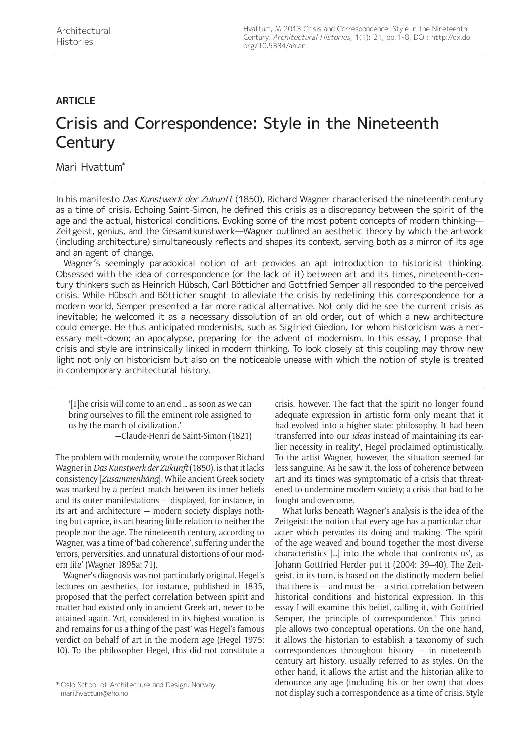# **ARTICLE**

# Crisis and Correspondence: Style in the Nineteenth **Century**

Mari Hvattum\*

In his manifesto Das Kunstwerk der Zukunft (1850), Richard Wagner characterised the nineteenth century as a time of crisis. Echoing Saint-Simon, he defined this crisis as a discrepancy between the spirit of the age and the actual, historical conditions. Evoking some of the most potent concepts of modern thinking— Zeitgeist, genius, and the Gesamtkunstwerk—Wagner outlined an aesthetic theory by which the artwork (including architecture) simultaneously reflects and shapes its context, serving both as a mirror of its age and an agent of change.

Wagner's seemingly paradoxical notion of art provides an apt introduction to historicist thinking. Obsessed with the idea of correspondence (or the lack of it) between art and its times, nineteenth-century thinkers such as Heinrich Hübsch, Carl Bötticher and Gottfried Semper all responded to the perceived crisis. While Hübsch and Bötticher sought to alleviate the crisis by redefining this correspondence for a modern world, Semper presented a far more radical alternative. Not only did he see the current crisis as inevitable; he welcomed it as a necessary dissolution of an old order, out of which a new architecture could emerge. He thus anticipated modernists, such as Sigfried Giedion, for whom historicism was a necessary melt-down; an apocalypse, preparing for the advent of modernism. In this essay, I propose that crisis and style are intrinsically linked in modern thinking. To look closely at this coupling may throw new light not only on historicism but also on the noticeable unease with which the notion of style is treated in contemporary architectural history.

'[T]he crisis will come to an end … as soon as we can bring ourselves to fill the eminent role assigned to us by the march of civilization.'

—Claude-Henri de Saint-Simon (1821)

The problem with modernity, wrote the composer Richard Wagner in *Das Kunstwerk der Zukunft* (1850), is that it lacks consistency [*Zusammenhäng*]. While ancient Greek society was marked by a perfect match between its inner beliefs and its outer manifestations — displayed, for instance, in its art and architecture — modern society displays nothing but caprice, its art bearing little relation to neither the people nor the age. The nineteenth century, according to Wagner, was a time of 'bad coherence', suffering under the 'errors, perversities, and unnatural distortions of our modern life' (Wagner 1895a: 71).

Wagner's diagnosis was not particularly original. Hegel's lectures on aesthetics, for instance, published in 1835, proposed that the perfect correlation between spirit and matter had existed only in ancient Greek art, never to be attained again. 'Art, considered in its highest vocation, is and remains for us a thing of the past' was Hegel's famous verdict on behalf of art in the modern age (Hegel 1975: 10). To the philosopher Hegel, this did not constitute a crisis, however. The fact that the spirit no longer found adequate expression in artistic form only meant that it had evolved into a higher state: philosophy. It had been 'transferred into our *ideas* instead of maintaining its earlier necessity in reality', Hegel proclaimed optimistically. To the artist Wagner, however, the situation seemed far less sanguine. As he saw it, the loss of coherence between art and its times was symptomatic of a crisis that threatened to undermine modern society; a crisis that had to be fought and overcome.

What lurks beneath Wagner's analysis is the idea of the Zeitgeist: the notion that every age has a particular character which pervades its doing and making. 'The spirit of the age weaved and bound together the most diverse characteristics […] into the whole that confronts us', as Johann Gottfried Herder put it (2004: 39–40). The Zeitgeist, in its turn, is based on the distinctly modern belief that there is  $-$  and must be  $-$  a strict correlation between historical conditions and historical expression. In this essay I will examine this belief, calling it, with Gottfried Semper, the principle of correspondence.<sup>1</sup> This principle allows two conceptual operations. On the one hand, it allows the historian to establish a taxonomy of such correspondences throughout history  $-$  in nineteenthcentury art history, usually referred to as styles. On the other hand, it allows the artist and the historian alike to denounce any age (including his or her own) that does toslo School of Architecture and Design, Norway **denounce any age (including his or her own) that does**<br>not display such a correspondence as a time of crisis. Style

[mari.hvattum@aho.no](mailto:mari.hvattum@aho.no)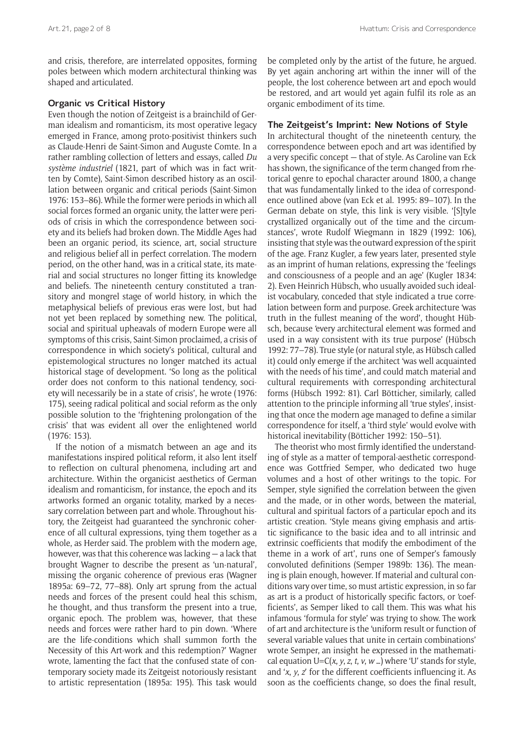and crisis, therefore, are interrelated opposites, forming poles between which modern architectural thinking was shaped and articulated.

# **Organic vs Critical History**

Even though the notion of Zeitgeist is a brainchild of German idealism and romanticism, its most operative legacy emerged in France, among proto-positivist thinkers such as Claude-Henri de Saint-Simon and Auguste Comte. In a rather rambling collection of letters and essays, called *Du système industriel* (1821, part of which was in fact written by Comte), Saint-Simon described history as an oscillation between organic and critical periods (Saint-Simon 1976: 153–86). While the former were periods in which all social forces formed an organic unity, the latter were periods of crisis in which the correspondence between society and its beliefs had broken down. The Middle Ages had been an organic period, its science, art, social structure and religious belief all in perfect correlation. The modern period, on the other hand, was in a critical state, its material and social structures no longer fitting its knowledge and beliefs. The nineteenth century constituted a transitory and mongrel stage of world history, in which the metaphysical beliefs of previous eras were lost, but had not yet been replaced by something new. The political, social and spiritual upheavals of modern Europe were all symptoms of this crisis, Saint-Simon proclaimed, a crisis of correspondence in which society's political, cultural and epistemological structures no longer matched its actual historical stage of development. 'So long as the political order does not conform to this national tendency, society will necessarily be in a state of crisis', he wrote (1976: 175), seeing radical political and social reform as the only possible solution to the 'frightening prolongation of the crisis' that was evident all over the enlightened world (1976: 153).

If the notion of a mismatch between an age and its manifestations inspired political reform, it also lent itself to reflection on cultural phenomena, including art and architecture. Within the organicist aesthetics of German idealism and romanticism, for instance, the epoch and its artworks formed an organic totality, marked by a necessary correlation between part and whole. Throughout history, the Zeitgeist had guaranteed the synchronic coherence of all cultural expressions, tying them together as a whole, as Herder said. The problem with the modern age, however, was that this coherence was lacking — a lack that brought Wagner to describe the present as 'un-natural', missing the organic coherence of previous eras (Wagner 1895a: 69–72, 77–88). Only art sprung from the actual needs and forces of the present could heal this schism, he thought, and thus transform the present into a true, organic epoch. The problem was, however, that these needs and forces were rather hard to pin down. 'Where are the life-conditions which shall summon forth the Necessity of this Art-work and this redemption?' Wagner wrote, lamenting the fact that the confused state of contemporary society made its Zeitgeist notoriously resistant to artistic representation (1895a: 195). This task would be completed only by the artist of the future, he argued. By yet again anchoring art within the inner will of the people, the lost coherence between art and epoch would be restored, and art would yet again fulfil its role as an organic embodiment of its time.

#### **The Zeitgeist's Imprint: New Notions of Style**

In architectural thought of the nineteenth century, the correspondence between epoch and art was identified by a very specific concept — that of style. As Caroline van Eck has shown, the significance of the term changed from rhetorical genre to epochal character around 1800, a change that was fundamentally linked to the idea of correspondence outlined above (van Eck et al. 1995: 89–107). In the German debate on style, this link is very visible. '[S]tyle crystallized organically out of the time and the circumstances', wrote Rudolf Wiegmann in 1829 (1992: 106), insisting that style was the outward expression of the spirit of the age. Franz Kugler, a few years later, presented style as an imprint of human relations, expressing the 'feelings and consciousness of a people and an age' (Kugler 1834: 2). Even Heinrich Hübsch, who usually avoided such idealist vocabulary, conceded that style indicated a true correlation between form and purpose. Greek architecture 'was truth in the fullest meaning of the word', thought Hübsch, because 'every architectural element was formed and used in a way consistent with its true purpose' (Hübsch 1992: 77–78). True style (or natural style, as Hübsch called it) could only emerge if the architect 'was well acquainted with the needs of his time', and could match material and cultural requirements with corresponding architectural forms (Hübsch 1992: 81). Carl Bötticher, similarly, called attention to the principle informing all 'true styles', insisting that once the modern age managed to define a similar correspondence for itself, a 'third style' would evolve with historical inevitability (Bötticher 1992: 150–51).

The theorist who most firmly identified the understanding of style as a matter of temporal-aesthetic correspondence was Gottfried Semper, who dedicated two huge volumes and a host of other writings to the topic. For Semper, style signified the correlation between the given and the made, or in other words, between the material, cultural and spiritual factors of a particular epoch and its artistic creation. 'Style means giving emphasis and artistic significance to the basic idea and to all intrinsic and extrinsic coefficients that modify the embodiment of the theme in a work of art', runs one of Semper's famously convoluted definitions (Semper 1989b: 136). The meaning is plain enough, however. If material and cultural conditions vary over time, so must artistic expression, in so far as art is a product of historically specific factors, or 'coefficients', as Semper liked to call them. This was what his infamous 'formula for style' was trying to show. The work of art and architecture is the 'uniform result or function of several variable values that unite in certain combinations' wrote Semper, an insight he expressed in the mathematical equation U=C(*x*, *y*, *z*, *t*, *v*, *w* …) where 'U' stands for style, and '*x*, *y*, *z*' for the different coefficients influencing it. As soon as the coefficients change, so does the final result,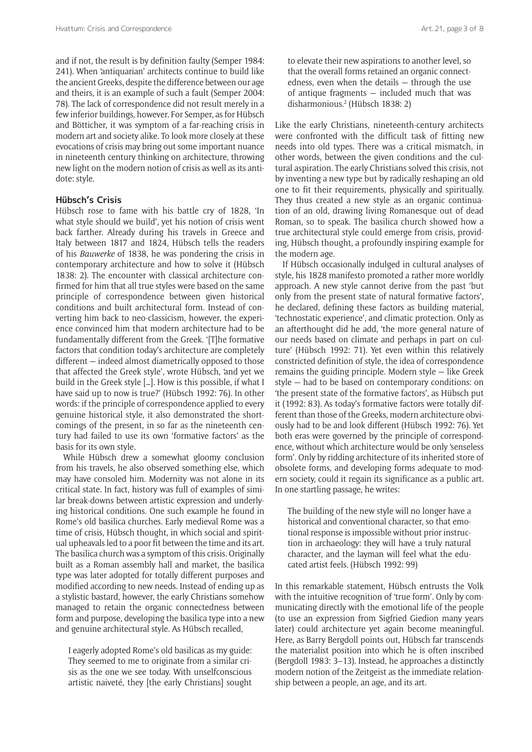and if not, the result is by definition faulty (Semper 1984: 241). When 'antiquarian' architects continue to build like the ancient Greeks, despite the difference between our age and theirs, it is an example of such a fault (Semper 2004: 78). The lack of correspondence did not result merely in a few inferior buildings, however. For Semper, as for Hübsch and Bötticher, it was symptom of a far-reaching crisis in modern art and society alike. To look more closely at these evocations of crisis may bring out some important nuance in nineteenth century thinking on architecture, throwing new light on the modern notion of crisis as well as its antidote: style.

#### **Hübsch's Crisis**

Hübsch rose to fame with his battle cry of 1828, 'In what style should we build', yet his notion of crisis went back farther. Already during his travels in Greece and Italy between 1817 and 1824, Hübsch tells the readers of his *Bauwerke* of 1838, he was pondering the crisis in contemporary architecture and how to solve it (Hübsch 1838: 2). The encounter with classical architecture confirmed for him that all true styles were based on the same principle of correspondence between given historical conditions and built architectural form. Instead of converting him back to neo-classicism, however, the experience convinced him that modern architecture had to be fundamentally different from the Greek. '[T]he formative factors that condition today's architecture are completely different — indeed almost diametrically opposed to those that affected the Greek style', wrote Hübsch, 'and yet we build in the Greek style […]. How is this possible, if what I have said up to now is true?' (Hübsch 1992: 76). In other words: if the principle of correspondence applied to every genuine historical style, it also demonstrated the shortcomings of the present, in so far as the nineteenth century had failed to use its own 'formative factors' as the basis for its own style.

While Hübsch drew a somewhat gloomy conclusion from his travels, he also observed something else, which may have consoled him. Modernity was not alone in its critical state. In fact, history was full of examples of similar break-downs between artistic expression and underlying historical conditions. One such example he found in Rome's old basilica churches. Early medieval Rome was a time of crisis, Hübsch thought, in which social and spiritual upheavals led to a poor fit between the time and its art. The basilica church was a symptom of this crisis. Originally built as a Roman assembly hall and market, the basilica type was later adopted for totally different purposes and modified according to new needs. Instead of ending up as a stylistic bastard, however, the early Christians somehow managed to retain the organic connectedness between form and purpose, developing the basilica type into a new and genuine architectural style. As Hübsch recalled,

I eagerly adopted Rome's old basilicas as my guide: They seemed to me to originate from a similar crisis as the one we see today. With unselfconscious artistic naiveté, they [the early Christians] sought Like the early Christians, nineteenth-century architects were confronted with the difficult task of fitting new needs into old types. There was a critical mismatch, in other words, between the given conditions and the cultural aspiration. The early Christians solved this crisis, not by inventing a new type but by radically reshaping an old one to fit their requirements, physically and spiritually. They thus created a new style as an organic continuation of an old, drawing living Romanesque out of dead Roman, so to speak. The basilica church showed how a true architectural style could emerge from crisis, providing, Hübsch thought, a profoundly inspiring example for the modern age.

If Hübsch occasionally indulged in cultural analyses of style, his 1828 manifesto promoted a rather more worldly approach. A new style cannot derive from the past 'but only from the present state of natural formative factors', he declared, defining these factors as building material, 'technostatic experience', and climatic protection. Only as an afterthought did he add, 'the more general nature of our needs based on climate and perhaps in part on culture' (Hübsch 1992: 71). Yet even within this relatively constricted definition of style, the idea of correspondence remains the guiding principle. Modern style — like Greek style — had to be based on contemporary conditions: on 'the present state of the formative factors', as Hübsch put it (1992: 83). As today's formative factors were totally different than those of the Greeks, modern architecture obviously had to be and look different (Hübsch 1992: 76). Yet both eras were governed by the principle of correspondence, without which architecture would be only 'senseless form'. Only by ridding architecture of its inherited store of obsolete forms, and developing forms adequate to modern society, could it regain its significance as a public art. In one startling passage, he writes:

The building of the new style will no longer have a historical and conventional character, so that emotional response is impossible without prior instruction in archaeology: they will have a truly natural character, and the layman will feel what the educated artist feels. (Hübsch 1992: 99)

In this remarkable statement, Hübsch entrusts the Volk with the intuitive recognition of 'true form'. Only by communicating directly with the emotional life of the people (to use an expression from Sigfried Giedion many years later) could architecture yet again become meaningful. Here, as Barry Bergdoll points out, Hübsch far transcends the materialist position into which he is often inscribed (Bergdoll 1983: 3–13). Instead, he approaches a distinctly modern notion of the Zeitgeist as the immediate relationship between a people, an age, and its art.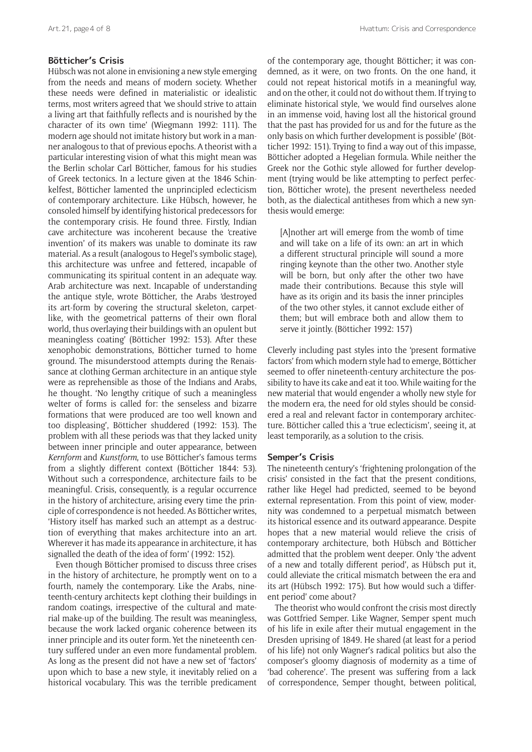# **Bötticher's Crisis**

Hübsch was not alone in envisioning a new style emerging from the needs and means of modern society. Whether these needs were defined in materialistic or idealistic terms, most writers agreed that 'we should strive to attain a living art that faithfully reflects and is nourished by the character of its own time' (Wiegmann 1992: 111). The modern age should not imitate history but work in a manner analogous to that of previous epochs. A theorist with a particular interesting vision of what this might mean was the Berlin scholar Carl Bötticher, famous for his studies of Greek tectonics. In a lecture given at the 1846 Schinkelfest, Bötticher lamented the unprincipled eclecticism of contemporary architecture. Like Hübsch, however, he consoled himself by identifying historical predecessors for the contemporary crisis. He found three. Firstly, Indian cave architecture was incoherent because the 'creative invention' of its makers was unable to dominate its raw material. As a result (analogous to Hegel's symbolic stage), this architecture was unfree and fettered, incapable of communicating its spiritual content in an adequate way. Arab architecture was next. Incapable of understanding the antique style, wrote Bötticher, the Arabs 'destroyed its art-form by covering the structural skeleton, carpetlike, with the geometrical patterns of their own floral world, thus overlaying their buildings with an opulent but meaningless coating' (Bötticher 1992: 153). After these xenophobic demonstrations, Bötticher turned to home ground. The misunderstood attempts during the Renaissance at clothing German architecture in an antique style were as reprehensible as those of the Indians and Arabs, he thought. 'No lengthy critique of such a meaningless welter of forms is called for: the senseless and bizarre formations that were produced are too well known and too displeasing', Bötticher shuddered (1992: 153). The problem with all these periods was that they lacked unity between inner principle and outer appearance, between *Kernform* and *Kunstform*, to use Bötticher's famous terms from a slightly different context (Bötticher 1844: 53). Without such a correspondence, architecture fails to be meaningful. Crisis, consequently, is a regular occurrence in the history of architecture, arising every time the principle of correspondence is not heeded. As Bötticher writes, 'History itself has marked such an attempt as a destruction of everything that makes architecture into an art. Wherever it has made its appearance in architecture, it has signalled the death of the idea of form' (1992: 152).

Even though Bötticher promised to discuss three crises in the history of architecture, he promptly went on to a fourth, namely the contemporary. Like the Arabs, nineteenth-century architects kept clothing their buildings in random coatings, irrespective of the cultural and material make-up of the building. The result was meaningless, because the work lacked organic coherence between its inner principle and its outer form. Yet the nineteenth century suffered under an even more fundamental problem. As long as the present did not have a new set of 'factors' upon which to base a new style, it inevitably relied on a historical vocabulary. This was the terrible predicament of the contemporary age, thought Bötticher; it was condemned, as it were, on two fronts. On the one hand, it could not repeat historical motifs in a meaningful way, and on the other, it could not do without them. If trying to eliminate historical style, 'we would find ourselves alone in an immense void, having lost all the historical ground that the past has provided for us and for the future as the only basis on which further development is possible' (Bötticher 1992: 151). Trying to find a way out of this impasse, Bötticher adopted a Hegelian formula. While neither the Greek nor the Gothic style allowed for further development (trying would be like attempting to perfect perfection, Bötticher wrote), the present nevertheless needed both, as the dialectical antitheses from which a new synthesis would emerge:

[A]nother art will emerge from the womb of time and will take on a life of its own: an art in which a different structural principle will sound a more ringing keynote than the other two. Another style will be born, but only after the other two have made their contributions. Because this style will have as its origin and its basis the inner principles of the two other styles, it cannot exclude either of them; but will embrace both and allow them to serve it jointly. (Bötticher 1992: 157)

Cleverly including past styles into the 'present formative factors' from which modern style had to emerge, Bötticher seemed to offer nineteenth-century architecture the possibility to have its cake and eat it too. While waiting for the new material that would engender a wholly new style for the modern era, the need for old styles should be considered a real and relevant factor in contemporary architecture. Bötticher called this a 'true eclecticism', seeing it, at least temporarily, as a solution to the crisis.

#### **Semper's Crisis**

The nineteenth century's 'frightening prolongation of the crisis' consisted in the fact that the present conditions, rather like Hegel had predicted, seemed to be beyond external representation. From this point of view, modernity was condemned to a perpetual mismatch between its historical essence and its outward appearance. Despite hopes that a new material would relieve the crisis of contemporary architecture, both Hübsch and Bötticher admitted that the problem went deeper. Only 'the advent of a new and totally different period', as Hübsch put it, could alleviate the critical mismatch between the era and its art (Hübsch 1992: 175). But how would such a 'different period' come about?

The theorist who would confront the crisis most directly was Gottfried Semper. Like Wagner, Semper spent much of his life in exile after their mutual engagement in the Dresden uprising of 1849. He shared (at least for a period of his life) not only Wagner's radical politics but also the composer's gloomy diagnosis of modernity as a time of 'bad coherence'. The present was suffering from a lack of correspondence, Semper thought, between political,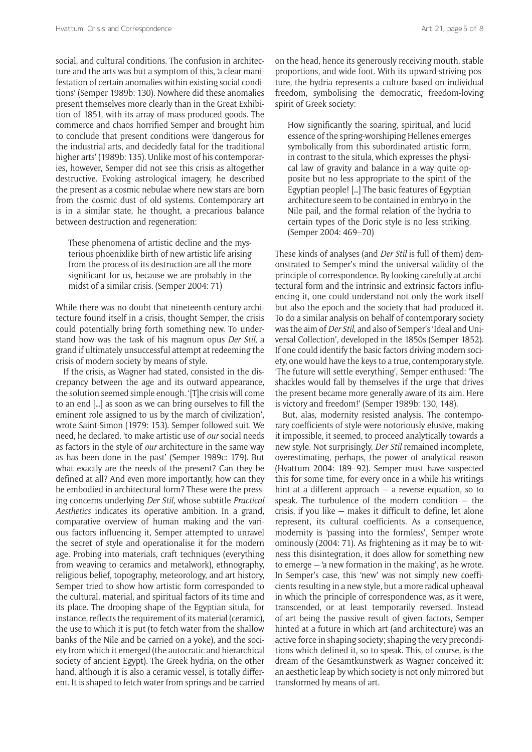social, and cultural conditions. The confusion in architecture and the arts was but a symptom of this, 'a clear manifestation of certain anomalies within existing social conditions' (Semper 1989b: 130). Nowhere did these anomalies present themselves more clearly than in the Great Exhibition of 1851, with its array of mass-produced goods. The commerce and chaos horrified Semper and brought him to conclude that present conditions were 'dangerous for the industrial arts, and decidedly fatal for the traditional higher arts' (1989b: 135). Unlike most of his contemporaries, however, Semper did not see this crisis as altogether destructive. Evoking astrological imagery, he described the present as a cosmic nebulae where new stars are born from the cosmic dust of old systems. Contemporary art is in a similar state, he thought, a precarious balance between destruction and regeneration:

These phenomena of artistic decline and the mysterious phoenixlike birth of new artistic life arising from the process of its destruction are all the more significant for us, because we are probably in the midst of a similar crisis. (Semper 2004: 71)

While there was no doubt that nineteenth-century architecture found itself in a crisis, thought Semper, the crisis could potentially bring forth something new. To understand how was the task of his magnum opus *Der Stil*, a grand if ultimately unsuccessful attempt at redeeming the crisis of modern society by means of style.

If the crisis, as Wagner had stated, consisted in the discrepancy between the age and its outward appearance, the solution seemed simple enough. '[T]he crisis will come to an end […] as soon as we can bring ourselves to fill the eminent role assigned to us by the march of civilization', wrote Saint-Simon (1979: 153). Semper followed suit. We need, he declared, 'to make artistic use of *our* social needs as factors in the style of *our* architecture in the same way as has been done in the past' (Semper 1989c: 179). But what exactly are the needs of the present? Can they be defined at all? And even more importantly, how can they be embodied in architectural form? These were the pressing concerns underlying *Der Stil*, whose subtitle *Practical Aesthetics* indicates its operative ambition. In a grand, comparative overview of human making and the various factors influencing it, Semper attempted to unravel the secret of style and operationalise it for the modern age. Probing into materials, craft techniques (everything from weaving to ceramics and metalwork), ethnography, religious belief, topography, meteorology, and art history, Semper tried to show how artistic form corresponded to the cultural, material, and spiritual factors of its time and its place. The drooping shape of the Egyptian situla, for instance, reflects the requirement of its material (ceramic), the use to which it is put (to fetch water from the shallow banks of the Nile and be carried on a yoke), and the society from which it emerged (the autocratic and hierarchical society of ancient Egypt). The Greek hydria, on the other hand, although it is also a ceramic vessel, is totally different. It is shaped to fetch water from springs and be carried

on the head, hence its generously receiving mouth, stable proportions, and wide foot. With its upward-striving posture, the hydria represents a culture based on individual freedom, symbolising the democratic, freedom-loving spirit of Greek society:

How significantly the soaring, spiritual, and lucid essence of the spring-worshiping Hellenes emerges symbolically from this subordinated artistic form, in contrast to the situla, which expresses the physical law of gravity and balance in a way quite opposite but no less appropriate to the spirit of the Egyptian people! […] The basic features of Egyptian architecture seem to be contained in embryo in the Nile pail, and the formal relation of the hydria to certain types of the Doric style is no less striking. (Semper 2004: 469–70)

These kinds of analyses (and *Der Stil* is full of them) demonstrated to Semper's mind the universal validity of the principle of correspondence. By looking carefully at architectural form and the intrinsic and extrinsic factors influencing it, one could understand not only the work itself but also the epoch and the society that had produced it. To do a similar analysis on behalf of contemporary society was the aim of *Der Stil*, and also of Semper's 'Ideal and Universal Collection', developed in the 1850s (Semper 1852). If one could identify the basic factors driving modern society, one would have the keys to a true, contemporary style. 'The future will settle everything', Semper enthused: 'The shackles would fall by themselves if the urge that drives the present became more generally aware of its aim. Here is victory and freedom!' (Semper 1989b: 130, 148).

But, alas, modernity resisted analysis. The contemporary coefficients of style were notoriously elusive, making it impossible, it seemed, to proceed analytically towards a new style. Not surprisingly, *Der Stil* remained incomplete, overestimating, perhaps, the power of analytical reason (Hvattum 2004: 189–92). Semper must have suspected this for some time, for every once in a while his writings hint at a different approach — a reverse equation, so to speak. The turbulence of the modern condition  $-$  the crisis, if you like — makes it difficult to define, let alone represent, its cultural coefficients. As a consequence, modernity is 'passing into the formless', Semper wrote ominously (2004: 71). As frightening as it may be to witness this disintegration, it does allow for something new to emerge — 'a new formation in the making', as he wrote. In Semper's case, this 'new' was not simply new coefficients resulting in a new style, but a more radical upheaval in which the principle of correspondence was, as it were, transcended, or at least temporarily reversed. Instead of art being the passive result of given factors, Semper hinted at a future in which art (and architecture) was an active force in shaping society; shaping the very preconditions which defined it, so to speak. This, of course, is the dream of the Gesamtkunstwerk as Wagner conceived it: an aesthetic leap by which society is not only mirrored but transformed by means of art.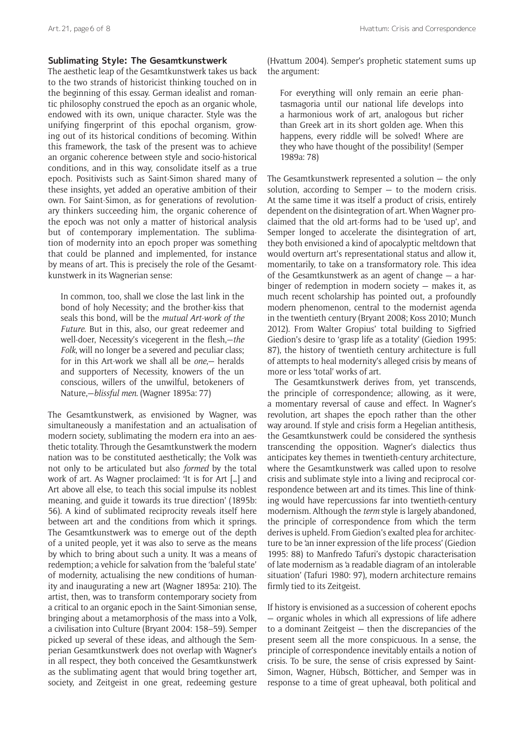# **Sublimating Style: The Gesamtkunstwerk**

The aesthetic leap of the Gesamtkunstwerk takes us back to the two strands of historicist thinking touched on in the beginning of this essay. German idealist and romantic philosophy construed the epoch as an organic whole, endowed with its own, unique character. Style was the unifying fingerprint of this epochal organism, growing out of its historical conditions of becoming. Within this framework, the task of the present was to achieve an organic coherence between style and socio-historical conditions, and in this way, consolidate itself as a true epoch. Positivists such as Saint-Simon shared many of these insights, yet added an operative ambition of their own. For Saint-Simon, as for generations of revolutionary thinkers succeeding him, the organic coherence of the epoch was not only a matter of historical analysis but of contemporary implementation. The sublimation of modernity into an epoch proper was something that could be planned and implemented, for instance by means of art. This is precisely the role of the Gesamtkunstwerk in its Wagnerian sense:

In common, too, shall we close the last link in the bond of holy Necessity; and the brother-kiss that seals this bond, will be the *mutual Art-work of the Future*. But in this, also, our great redeemer and well-doer, Necessity's vicegerent in the flesh,—*the Folk*, will no longer be a severed and peculiar class; for in this Art-work we shall all be *one*,— heralds and supporters of Necessity, knowers of the un conscious, willers of the unwilful, betokeners of Nature,—*blissful men*. (Wagner 1895a: 77)

The Gesamtkunstwerk, as envisioned by Wagner, was simultaneously a manifestation and an actualisation of modern society, sublimating the modern era into an aesthetic totality. Through the Gesamtkunstwerk the modern nation was to be constituted aesthetically; the Volk was not only to be articulated but also *formed* by the total work of art. As Wagner proclaimed: 'It is for Art […] and Art above all else, to teach this social impulse its noblest meaning, and guide it towards its true direction' (1895b: 56). A kind of sublimated reciprocity reveals itself here between art and the conditions from which it springs. The Gesamtkunstwerk was to emerge out of the depth of a united people, yet it was also to serve as the means by which to bring about such a unity. It was a means of redemption; a vehicle for salvation from the 'baleful state' of modernity, actualising the new conditions of humanity and inaugurating a new art (Wagner 1895a: 210). The artist, then, was to transform contemporary society from a critical to an organic epoch in the Saint-Simonian sense, bringing about a metamorphosis of the mass into a Volk, a civilisation into Culture (Bryant 2004: 158–59). Semper picked up several of these ideas, and although the Semperian Gesamtkunstwerk does not overlap with Wagner's in all respect, they both conceived the Gesamtkunstwerk as the sublimating agent that would bring together art, society, and Zeitgeist in one great, redeeming gesture

(Hvattum 2004). Semper's prophetic statement sums up the argument:

For everything will only remain an eerie phantasmagoria until our national life develops into a harmonious work of art, analogous but richer than Greek art in its short golden age. When this happens, every riddle will be solved! Where are they who have thought of the possibility! (Semper 1989a: 78)

The Gesamtkunstwerk represented a solution — the only solution, according to Semper  $-$  to the modern crisis. At the same time it was itself a product of crisis, entirely dependent on the disintegration of art. When Wagner proclaimed that the old art-forms had to be 'used up', and Semper longed to accelerate the disintegration of art, they both envisioned a kind of apocalyptic meltdown that would overturn art's representational status and allow it, momentarily, to take on a transformatory role. This idea of the Gesamtkunstwerk as an agent of change — a harbinger of redemption in modern society — makes it, as much recent scholarship has pointed out, a profoundly modern phenomenon, central to the modernist agenda in the twentieth century (Bryant 2008; Koss 2010; Munch 2012). From Walter Gropius' total building to Sigfried Giedion's desire to 'grasp life as a totality' (Giedion 1995: 87), the history of twentieth century architecture is full of attempts to heal modernity's alleged crisis by means of more or less 'total' works of art.

The Gesamtkunstwerk derives from, yet transcends, the principle of correspondence; allowing, as it were, a momentary reversal of cause and effect. In Wagner's revolution, art shapes the epoch rather than the other way around. If style and crisis form a Hegelian antithesis, the Gesamtkunstwerk could be considered the synthesis transcending the opposition. Wagner's dialectics thus anticipates key themes in twentieth-century architecture, where the Gesamtkunstwerk was called upon to resolve crisis and sublimate style into a living and reciprocal correspondence between art and its times. This line of thinking would have repercussions far into twentieth-century modernism. Although the *term* style is largely abandoned, the principle of correspondence from which the term derives is upheld. From Giedion's exalted plea for architecture to be 'an inner expression of the life process' (Giedion 1995: 88) to Manfredo Tafuri's dystopic characterisation of late modernism as 'a readable diagram of an intolerable situation' (Tafuri 1980: 97), modern architecture remains firmly tied to its Zeitgeist.

If history is envisioned as a succession of coherent epochs — organic wholes in which all expressions of life adhere to a dominant Zeitgeist — then the discrepancies of the present seem all the more conspicuous. In a sense, the principle of correspondence inevitably entails a notion of crisis. To be sure, the sense of crisis expressed by Saint-Simon, Wagner, Hübsch, Bötticher, and Semper was in response to a time of great upheaval, both political and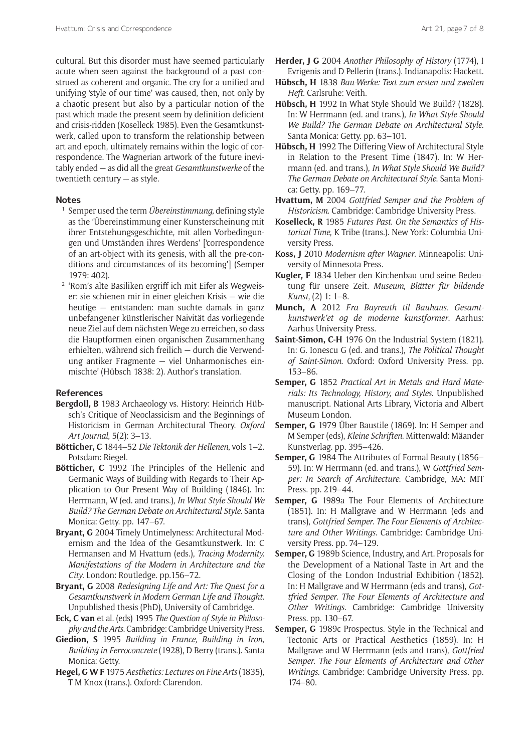cultural. But this disorder must have seemed particularly acute when seen against the background of a past construed as coherent and organic. The cry for a unified and unifying 'style of our time' was caused, then, not only by a chaotic present but also by a particular notion of the past which made the present seem by definition deficient and crisis-ridden (Koselleck 1985). Even the Gesamtkunstwerk, called upon to transform the relationship between art and epoch, ultimately remains within the logic of correspondence. The Wagnerian artwork of the future inevitably ended — as did all the great *Gesamtkunstwerke* of the twentieth century — as style.

#### **Notes**

- <sup>1</sup> Semper used the term *Übereinstimmung*, defining style as the 'Übereinstimmung einer Kunsterscheinung mit ihrer Entstehungsgeschichte, mit allen Vorbedingungen und Umständen ihres Werdens' ['correspondence of an art-object with its genesis, with all the pre-conditions and circumstances of its becoming'] (Semper 1979: 402).
- <sup>2</sup> 'Rom's alte Basiliken ergriff ich mit Eifer als Wegweiser: sie schienen mir in einer gleichen Krisis — wie die heutige — entstanden: man suchte damals in ganz unbefangener künstlerischer Naivität das vorliegende neue Ziel auf dem nächsten Wege zu erreichen, so dass die Hauptformen einen organischen Zusammenhang erhielten, während sich freilich — durch die Verwendung antiker Fragmente — viel Unharmonisches einmischte' (Hübsch 1838: 2). Author's translation.

# **References**

- **Bergdoll, B** 1983 Archaeology vs. History: Heinrich Hübsch's Critique of Neoclassicism and the Beginnings of Historicism in German Architectural Theory. *Oxford Art Journal*, 5(2): 3–13.
- **Bötticher, C** 1844–52 *Die Tektonik der Hellenen*, vols 1–2. Potsdam: Riegel.
- **Bötticher, C** 1992 The Principles of the Hellenic and Germanic Ways of Building with Regards to Their Application to Our Present Way of Building (1846). In: Herrmann, W (ed. and trans.), *In What Style Should We Build? The German Debate on Architectural Style*. Santa Monica: Getty. pp. 147–67.
- **Bryant, G** 2004 Timely Untimelyness: Architectural Modernism and the Idea of the Gesamtkunstwerk. In: C Hermansen and M Hvattum (eds.), *Tracing Modernity. Manifestations of the Modern in Architecture and the City*. London: Routledge. pp.156–72.
- **Bryant, G** 2008 *Redesigning Life and Art: The Quest for a Gesamtkunstwerk in Modern German Life and Thought*. Unpublished thesis (PhD), University of Cambridge.
- **Eck, C van** et al. (eds) 1995 *The Question of Style in Philosophy and the Arts*. Cambridge: Cambridge University Press.
- **Giedion, S** 1995 *Building in France, Building in Iron, Building in Ferroconcrete* (1928), D Berry (trans.). Santa Monica: Getty.
- **Hegel, G W F** 1975 *Aesthetics: Lectures on Fine Arts* (1835), T M Knox (trans.). Oxford: Clarendon.
- **Herder, J G** 2004 *Another Philosophy of History* (1774), I Evrigenis and D Pellerin (trans.). Indianapolis: Hackett.
- **Hübsch, H** 1838 *Bau-Werke: Text zum ersten und zweiten Heft*. Carlsruhe: Veith.
- **Hübsch, H** 1992 In What Style Should We Build? (1828). In: W Herrmann (ed. and trans.), *In What Style Should We Build? The German Debate on Architectural Style*. Santa Monica: Getty. pp. 63–101.
- **Hübsch, H** 1992 The Differing View of Architectural Style in Relation to the Present Time (1847). In: W Herrmann (ed. and trans.), *In What Style Should We Build? The German Debate on Architectural Style*. Santa Monica: Getty. pp. 169–77.
- **Hvattum, M** 2004 *Gottfried Semper and the Problem of Historicism*. Cambridge: Cambridge University Press.
- **Koselleck, R** 1985 *Futures Past. On the Semantics of Historical Time*, K Tribe (trans.). New York: Columbia University Press.
- **Koss, J** 2010 *Modernism after Wagner*. Minneapolis: University of Minnesota Press.
- **Kugler, F** 1834 Ueber den Kirchenbau und seine Bedeutung für unsere Zeit. *Museum, Blätter für bildende Kunst*, (2) 1: 1–8.
- **Munch, A** 2012 *Fra Bayreuth til Bauhaus. Gesamtkunstwerk'et og de moderne kunstformer*. Aarhus: Aarhus University Press.
- **Saint-Simon, C-H** 1976 On the Industrial System (1821). In: G. Ionescu G (ed. and trans.), *The Political Thought of Saint-Simon*. Oxford: Oxford University Press. pp. 153–86.
- **Semper, G** 1852 *Practical Art in Metals and Hard Materials: Its Technology, History, and Styles*. Unpublished manuscript. National Arts Library, Victoria and Albert Museum London.
- **Semper, G** 1979 Über Baustile (1869). In: H Semper and M Semper (eds), *Kleine Schriften*. Mittenwald: Mäander Kunstverlag. pp. 395–426.
- **Semper, G** 1984 The Attributes of Formal Beauty (1856– 59). In: W Herrmann (ed. and trans.), W *Gottfried Semper: In Search of Architecture*. Cambridge, MA: MIT Press. pp. 219–44.
- **Semper, G** 1989a The Four Elements of Architecture (1851). In: H Mallgrave and W Herrmann (eds and trans), *Gottfried Semper. The Four Elements of Architecture and Other Writings*. Cambridge: Cambridge University Press. pp. 74–129.
- **Semper, G** 1989b Science, Industry, and Art. Proposals for the Development of a National Taste in Art and the Closing of the London Industrial Exhibition (1852). In: H Mallgrave and W Herrmann (eds and trans), *Gottfried Semper. The Four Elements of Architecture and Other Writings*. Cambridge: Cambridge University Press. pp. 130–67.
- **Semper, G** 1989c Prospectus. Style in the Technical and Tectonic Arts or Practical Aesthetics (1859). In: H Mallgrave and W Herrmann (eds and trans), *Gottfried Semper. The Four Elements of Architecture and Other Writings*. Cambridge: Cambridge University Press. pp. 174–80.